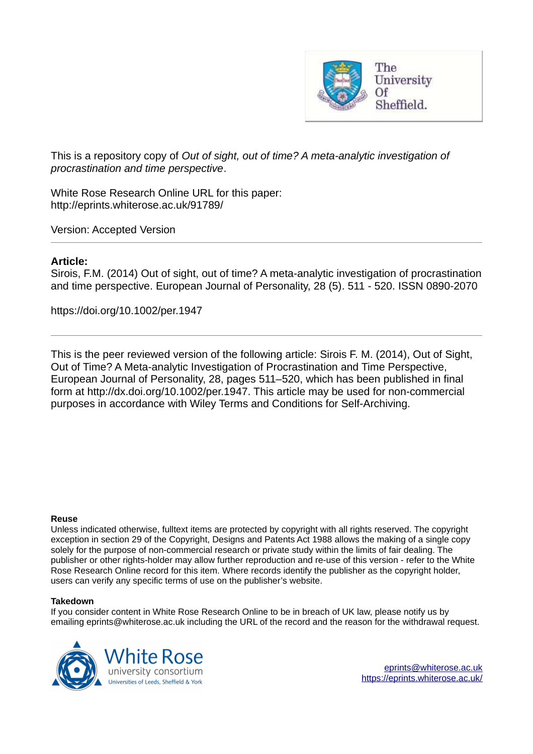

This is a repository copy of *Out of sight, out of time? A meta-analytic investigation of procrastination and time perspective*.

White Rose Research Online URL for this paper: http://eprints.whiterose.ac.uk/91789/

Version: Accepted Version

## **Article:**

Sirois, F.M. (2014) Out of sight, out of time? A meta-analytic investigation of procrastination and time perspective. European Journal of Personality, 28 (5). 511 - 520. ISSN 0890-2070

https://doi.org/10.1002/per.1947

This is the peer reviewed version of the following article: Sirois F. M. (2014), Out of Sight, Out of Time? A Meta-analytic Investigation of Procrastination and Time Perspective, European Journal of Personality, 28, pages 511–520, which has been published in final form at http://dx.doi.org/10.1002/per.1947. This article may be used for non-commercial purposes in accordance with Wiley Terms and Conditions for Self-Archiving.

#### **Reuse**

Unless indicated otherwise, fulltext items are protected by copyright with all rights reserved. The copyright exception in section 29 of the Copyright, Designs and Patents Act 1988 allows the making of a single copy solely for the purpose of non-commercial research or private study within the limits of fair dealing. The publisher or other rights-holder may allow further reproduction and re-use of this version - refer to the White Rose Research Online record for this item. Where records identify the publisher as the copyright holder, users can verify any specific terms of use on the publisher's website.

## **Takedown**

If you consider content in White Rose Research Online to be in breach of UK law, please notify us by emailing eprints@whiterose.ac.uk including the URL of the record and the reason for the withdrawal request.

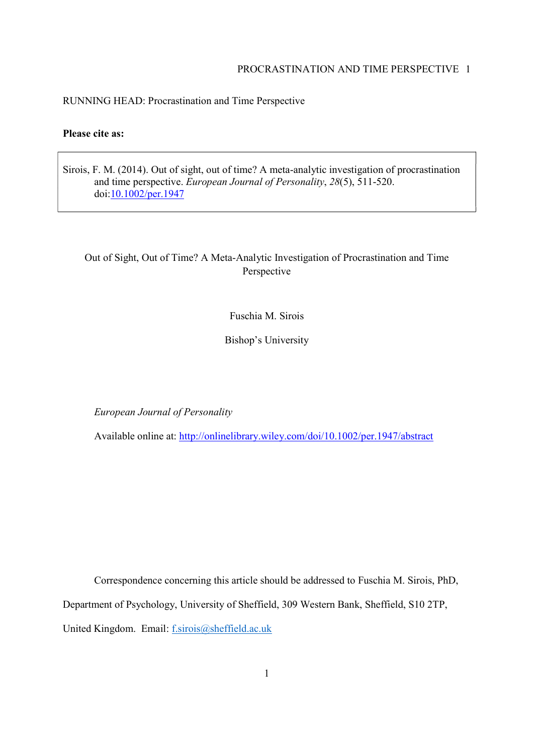## RUNNING HEAD: Procrastination and Time Perspective

## **Please cite as:**

Sirois, F. M. (2014). Out of sight, out of time? A meta-analytic investigation of procrastination and time perspective. *European Journal of Personality*, *28*(5), 511-520. doi:10.1002/per.1947

# Out of Sight, Out of Time? A Meta-Analytic Investigation of Procrastination and Time Perspective

Fuschia M. Sirois

Bishop's University

*European Journal of Personality*

Available online at: http://onlinelibrary.wiley.com/doi/10.1002/per.1947/abstract

Correspondence concerning this article should be addressed to Fuschia M. Sirois, PhD, Department of Psychology, University of Sheffield, 309 Western Bank, Sheffield, S10 2TP, United Kingdom. Email: f.sirois@sheffield.ac.uk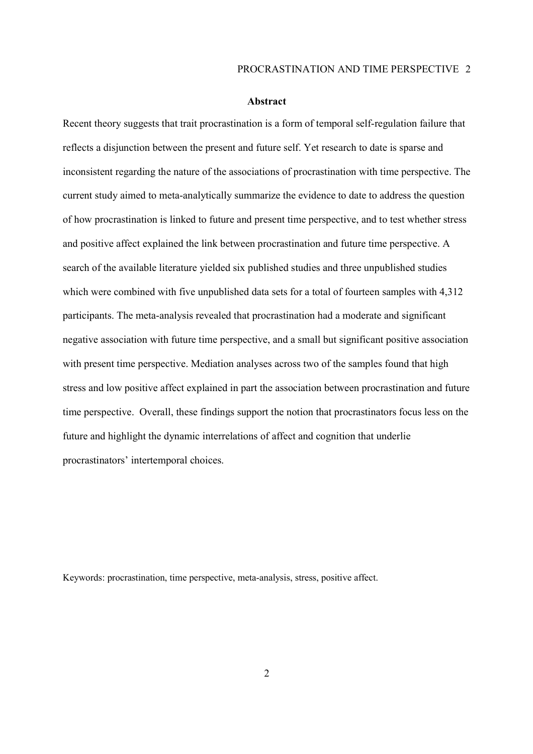#### **Abstract**

Recent theory suggests that trait procrastination is a form of temporal self-regulation failure that reflects a disjunction between the present and future self. Yet research to date is sparse and inconsistent regarding the nature of the associations of procrastination with time perspective. The current study aimed to meta-analytically summarize the evidence to date to address the question of how procrastination is linked to future and present time perspective, and to test whether stress and positive affect explained the link between procrastination and future time perspective. A search of the available literature yielded six published studies and three unpublished studies which were combined with five unpublished data sets for a total of fourteen samples with 4,312 participants. The meta-analysis revealed that procrastination had a moderate and significant negative association with future time perspective, and a small but significant positive association with present time perspective. Mediation analyses across two of the samples found that high stress and low positive affect explained in part the association between procrastination and future time perspective. Overall, these findings support the notion that procrastinators focus less on the future and highlight the dynamic interrelations of affect and cognition that underlie procrastinators' intertemporal choices.

Keywords: procrastination, time perspective, meta-analysis, stress, positive affect.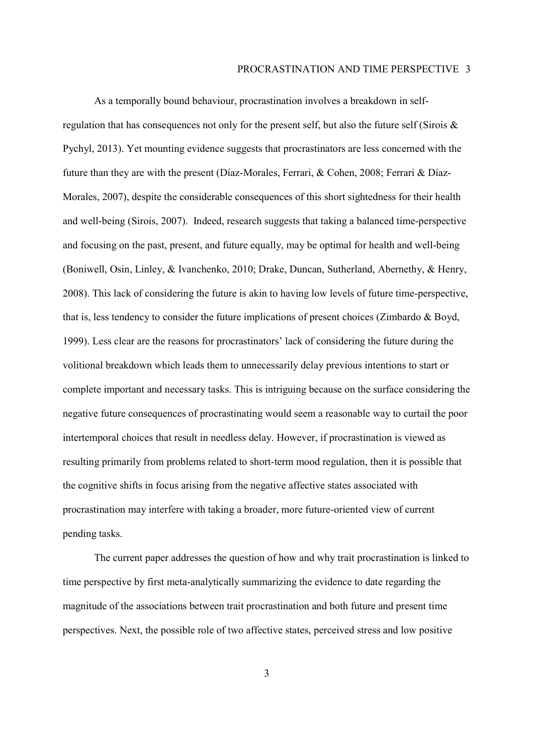As a temporally bound behaviour, procrastination involves a breakdown in selfregulation that has consequences not only for the present self, but also the future self (Sirois  $\&$ Pychyl, 2013). Yet mounting evidence suggests that procrastinators are less concerned with the future than they are with the present (Díaz-Morales, Ferrari, & Cohen, 2008; Ferrari & Díaz-Morales, 2007), despite the considerable consequences of this short sightedness for their health and well-being (Sirois, 2007). Indeed, research suggests that taking a balanced time-perspective and focusing on the past, present, and future equally, may be optimal for health and well-being (Boniwell, Osin, Linley, & Ivanchenko, 2010; Drake, Duncan, Sutherland, Abernethy, & Henry, 2008). This lack of considering the future is akin to having low levels of future time-perspective, that is, less tendency to consider the future implications of present choices (Zimbardo & Boyd, 1999). Less clear are the reasons for procrastinators' lack of considering the future during the volitional breakdown which leads them to unnecessarily delay previous intentions to start or complete important and necessary tasks. This is intriguing because on the surface considering the negative future consequences of procrastinating would seem a reasonable way to curtail the poor intertemporal choices that result in needless delay. However, if procrastination is viewed as resulting primarily from problems related to short-term mood regulation, then it is possible that the cognitive shifts in focus arising from the negative affective states associated with procrastination may interfere with taking a broader, more future-oriented view of current pending tasks.

The current paper addresses the question of how and why trait procrastination is linked to time perspective by first meta-analytically summarizing the evidence to date regarding the magnitude of the associations between trait procrastination and both future and present time perspectives. Next, the possible role of two affective states, perceived stress and low positive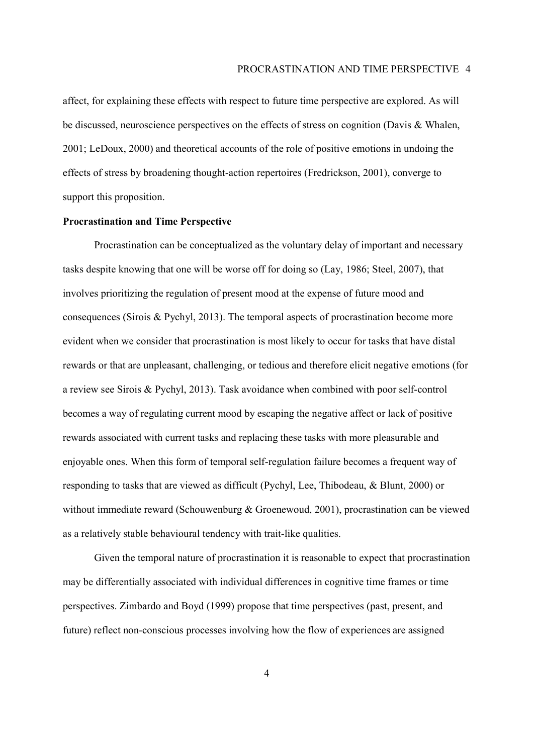affect, for explaining these effects with respect to future time perspective are explored. As will be discussed, neuroscience perspectives on the effects of stress on cognition (Davis & Whalen, 2001; LeDoux, 2000) and theoretical accounts of the role of positive emotions in undoing the effects of stress by broadening thought-action repertoires (Fredrickson, 2001), converge to support this proposition.

## **Procrastination and Time Perspective**

Procrastination can be conceptualized as the voluntary delay of important and necessary tasks despite knowing that one will be worse off for doing so (Lay, 1986; Steel, 2007), that involves prioritizing the regulation of present mood at the expense of future mood and consequences (Sirois & Pychyl, 2013). The temporal aspects of procrastination become more evident when we consider that procrastination is most likely to occur for tasks that have distal rewards or that are unpleasant, challenging, or tedious and therefore elicit negative emotions (for a review see Sirois & Pychyl, 2013). Task avoidance when combined with poor self-control becomes a way of regulating current mood by escaping the negative affect or lack of positive rewards associated with current tasks and replacing these tasks with more pleasurable and enjoyable ones. When this form of temporal self-regulation failure becomes a frequent way of responding to tasks that are viewed as difficult (Pychyl, Lee, Thibodeau, & Blunt, 2000) or without immediate reward (Schouwenburg & Groenewoud, 2001), procrastination can be viewed as a relatively stable behavioural tendency with trait-like qualities.

Given the temporal nature of procrastination it is reasonable to expect that procrastination may be differentially associated with individual differences in cognitive time frames or time perspectives. Zimbardo and Boyd (1999) propose that time perspectives (past, present, and future) reflect non-conscious processes involving how the flow of experiences are assigned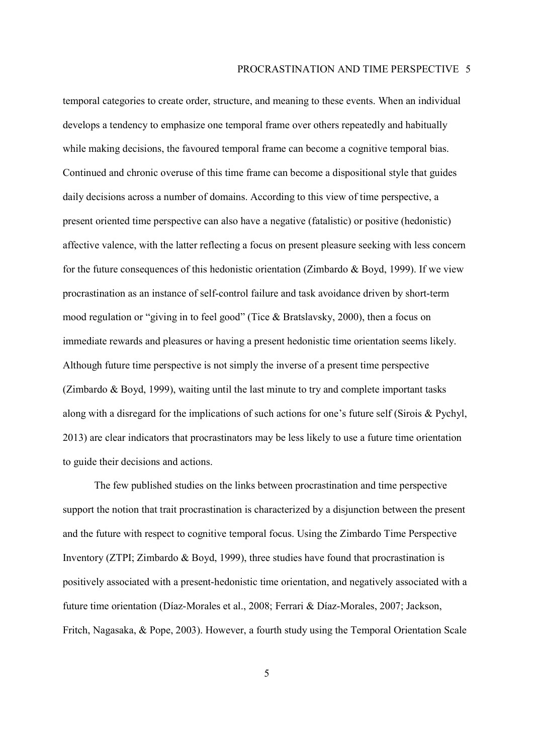temporal categories to create order, structure, and meaning to these events. When an individual develops a tendency to emphasize one temporal frame over others repeatedly and habitually while making decisions, the favoured temporal frame can become a cognitive temporal bias. Continued and chronic overuse of this time frame can become a dispositional style that guides daily decisions across a number of domains. According to this view of time perspective, a present oriented time perspective can also have a negative (fatalistic) or positive (hedonistic) affective valence, with the latter reflecting a focus on present pleasure seeking with less concern for the future consequences of this hedonistic orientation (Zimbardo & Boyd, 1999). If we view procrastination as an instance of self-control failure and task avoidance driven by short-term mood regulation or "giving in to feel good" (Tice  $&$  Bratslavsky, 2000), then a focus on immediate rewards and pleasures or having a present hedonistic time orientation seems likely. Although future time perspective is not simply the inverse of a present time perspective (Zimbardo  $\&$  Boyd, 1999), waiting until the last minute to try and complete important tasks along with a disregard for the implications of such actions for one's future self (Sirois  $& Pychyl$ , 2013) are clear indicators that procrastinators may be less likely to use a future time orientation to guide their decisions and actions.

The few published studies on the links between procrastination and time perspective support the notion that trait procrastination is characterized by a disjunction between the present and the future with respect to cognitive temporal focus. Using the Zimbardo Time Perspective Inventory (ZTPI; Zimbardo & Boyd, 1999), three studies have found that procrastination is positively associated with a present-hedonistic time orientation, and negatively associated with a future time orientation (DÌaz-Morales et al., 2008; Ferrari & DÌaz-Morales, 2007; Jackson, Fritch, Nagasaka, & Pope, 2003). However, a fourth study using the Temporal Orientation Scale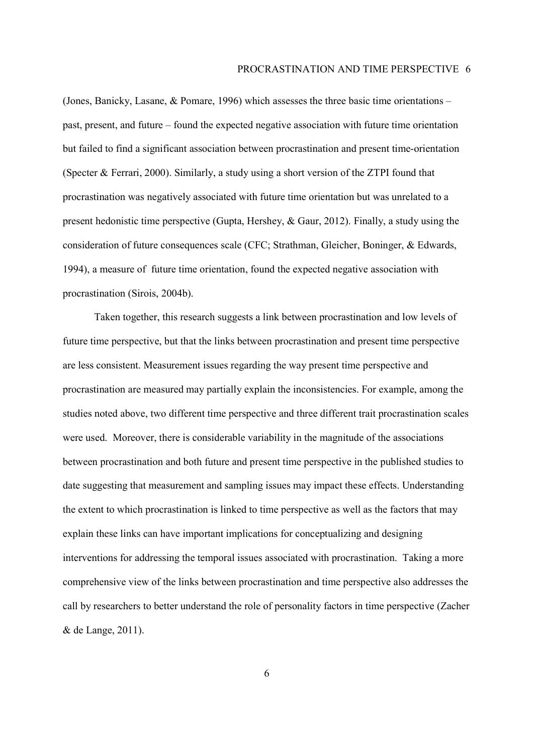(Jones, Banicky, Lasane,  $\&$  Pomare, 1996) which assesses the three basic time orientations – past, present, and future  $-$  found the expected negative association with future time orientation but failed to find a significant association between procrastination and present time-orientation (Specter & Ferrari, 2000). Similarly, a study using a short version of the ZTPI found that procrastination was negatively associated with future time orientation but was unrelated to a present hedonistic time perspective (Gupta, Hershey, & Gaur, 2012). Finally, a study using the consideration of future consequences scale (CFC; Strathman, Gleicher, Boninger, & Edwards, 1994), a measure of future time orientation, found the expected negative association with procrastination (Sirois, 2004b).

Taken together, this research suggests a link between procrastination and low levels of future time perspective, but that the links between procrastination and present time perspective are less consistent. Measurement issues regarding the way present time perspective and procrastination are measured may partially explain the inconsistencies. For example, among the studies noted above, two different time perspective and three different trait procrastination scales were used. Moreover, there is considerable variability in the magnitude of the associations between procrastination and both future and present time perspective in the published studies to date suggesting that measurement and sampling issues may impact these effects. Understanding the extent to which procrastination is linked to time perspective as well as the factors that may explain these links can have important implications for conceptualizing and designing interventions for addressing the temporal issues associated with procrastination. Taking a more comprehensive view of the links between procrastination and time perspective also addresses the call by researchers to better understand the role of personality factors in time perspective (Zacher & de Lange, 2011).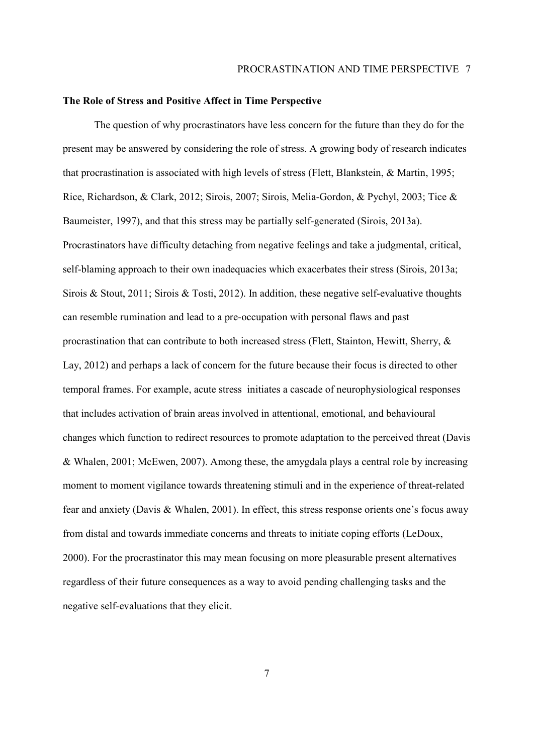#### **The Role of Stress and Positive Affect in Time Perspective**

 The question of why procrastinators have less concern for the future than they do for the present may be answered by considering the role of stress. A growing body of research indicates that procrastination is associated with high levels of stress (Flett, Blankstein, & Martin, 1995; Rice, Richardson, & Clark, 2012; Sirois, 2007; Sirois, Melia-Gordon, & Pychyl, 2003; Tice & Baumeister, 1997), and that this stress may be partially self-generated (Sirois, 2013a). Procrastinators have difficulty detaching from negative feelings and take a judgmental, critical, self-blaming approach to their own inadequacies which exacerbates their stress (Sirois, 2013a; Sirois & Stout, 2011; Sirois & Tosti, 2012). In addition, these negative self-evaluative thoughts can resemble rumination and lead to a pre-occupation with personal flaws and past procrastination that can contribute to both increased stress (Flett, Stainton, Hewitt, Sherry, & Lay, 2012) and perhaps a lack of concern for the future because their focus is directed to other temporal frames. For example, acute stress initiates a cascade of neurophysiological responses that includes activation of brain areas involved in attentional, emotional, and behavioural changes which function to redirect resources to promote adaptation to the perceived threat (Davis & Whalen, 2001; McEwen, 2007). Among these, the amygdala plays a central role by increasing moment to moment vigilance towards threatening stimuli and in the experience of threat-related fear and anxiety (Davis & Whalen, 2001). In effect, this stress response orients one's focus away from distal and towards immediate concerns and threats to initiate coping efforts (LeDoux, 2000). For the procrastinator this may mean focusing on more pleasurable present alternatives regardless of their future consequences as a way to avoid pending challenging tasks and the negative self-evaluations that they elicit.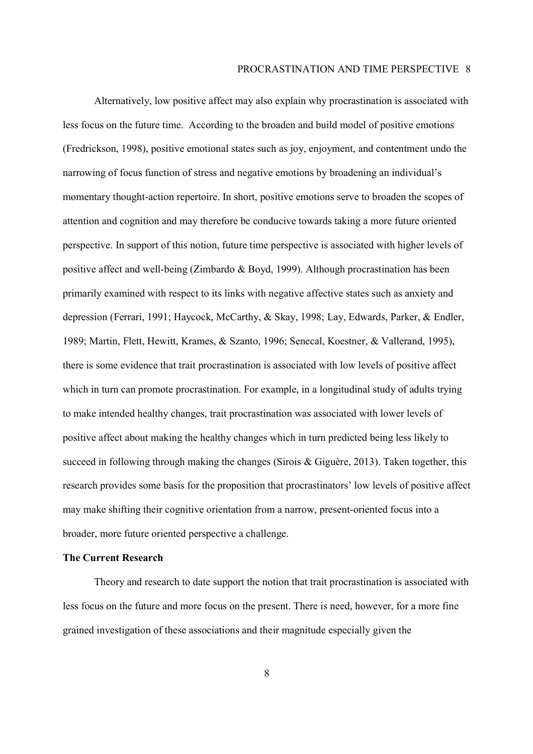Alternatively, low positive affect may also explain why procrastination is associated with less focus on the future time. According to the broaden and build model of positive emotions (Fredrickson, 1998), positive emotional states such as joy, enjoyment, and contentment undo the narrowing of focus function of stress and negative emotions by broadening an individual's momentary thought-action repertoire. In short, positive emotions serve to broaden the scopes of attention and cognition and may therefore be conducive towards taking a more future oriented perspective. In support of this notion, future time perspective is associated with higher levels of positive affect and well-being (Zimbardo & Boyd, 1999). Although procrastination has been primarily examined with respect to its links with negative affective states such as anxiety and depression (Ferrari, 1991; Haycock, McCarthy, & Skay, 1998; Lay, Edwards, Parker, & Endler, 1989; Martin, Flett, Hewitt, Krames, & Szanto, 1996; Senecal, Koestner, & Vallerand, 1995), there is some evidence that trait procrastination is associated with low levels of positive affect which in turn can promote procrastination. For example, in a longitudinal study of adults trying to make intended healthy changes, trait procrastination was associated with lower levels of positive affect about making the healthy changes which in turn predicted being less likely to succeed in following through making the changes (Sirois  $\&$  Giguère, 2013). Taken together, this research provides some basis for the proposition that procrastinators' low levels of positive affect may make shifting their cognitive orientation from a narrow, present-oriented focus into a broader, more future oriented perspective a challenge.

## **The Current Research**

Theory and research to date support the notion that trait procrastination is associated with less focus on the future and more focus on the present. There is need, however, for a more fine grained investigation of these associations and their magnitude especially given the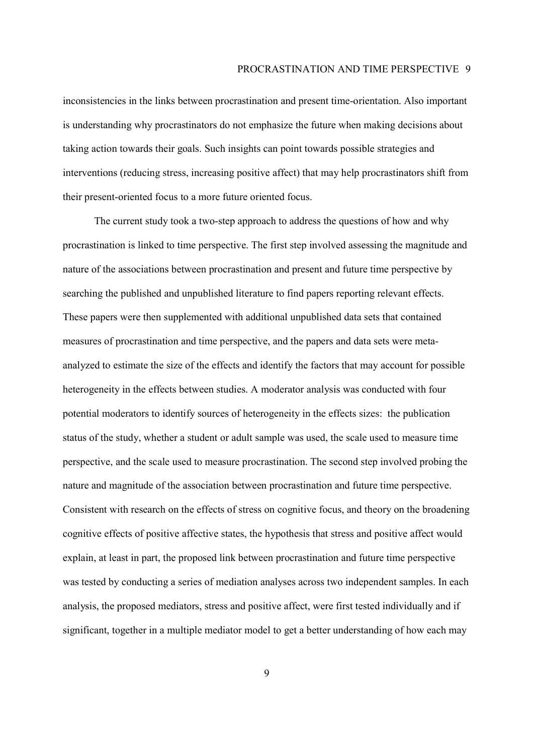inconsistencies in the links between procrastination and present time-orientation. Also important is understanding why procrastinators do not emphasize the future when making decisions about taking action towards their goals. Such insights can point towards possible strategies and interventions (reducing stress, increasing positive affect) that may help procrastinators shift from their present-oriented focus to a more future oriented focus.

The current study took a two-step approach to address the questions of how and why procrastination is linked to time perspective. The first step involved assessing the magnitude and nature of the associations between procrastination and present and future time perspective by searching the published and unpublished literature to find papers reporting relevant effects. These papers were then supplemented with additional unpublished data sets that contained measures of procrastination and time perspective, and the papers and data sets were metaanalyzed to estimate the size of the effects and identify the factors that may account for possible heterogeneity in the effects between studies. A moderator analysis was conducted with four potential moderators to identify sources of heterogeneity in the effects sizes: the publication status of the study, whether a student or adult sample was used, the scale used to measure time perspective, and the scale used to measure procrastination. The second step involved probing the nature and magnitude of the association between procrastination and future time perspective. Consistent with research on the effects of stress on cognitive focus, and theory on the broadening cognitive effects of positive affective states, the hypothesis that stress and positive affect would explain, at least in part, the proposed link between procrastination and future time perspective was tested by conducting a series of mediation analyses across two independent samples. In each analysis, the proposed mediators, stress and positive affect, were first tested individually and if significant, together in a multiple mediator model to get a better understanding of how each may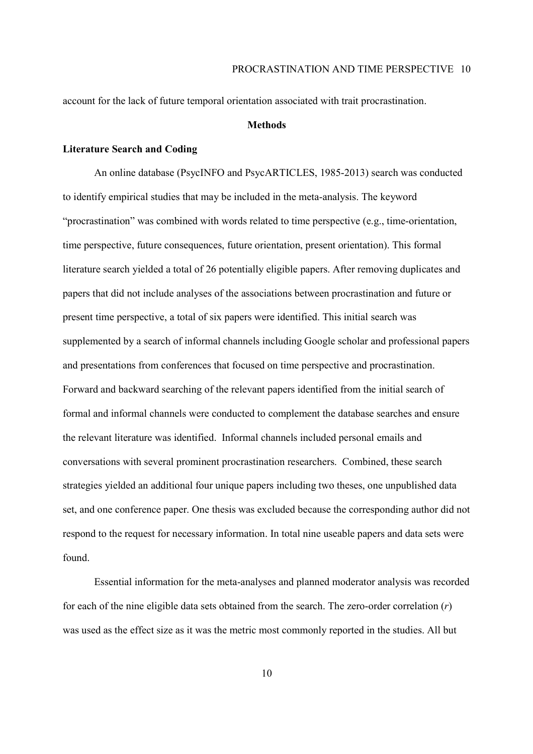account for the lack of future temporal orientation associated with trait procrastination.

## **Methods**

## **Literature Search and Coding**

An online database (PsycINFO and PsycARTICLES, 1985-2013) search was conducted to identify empirical studies that may be included in the meta-analysis. The keyword ìprocrastinationî was combined with words related to time perspective (e.g., time-orientation, time perspective, future consequences, future orientation, present orientation). This formal literature search yielded a total of 26 potentially eligible papers. After removing duplicates and papers that did not include analyses of the associations between procrastination and future or present time perspective, a total of six papers were identified. This initial search was supplemented by a search of informal channels including Google scholar and professional papers and presentations from conferences that focused on time perspective and procrastination. Forward and backward searching of the relevant papers identified from the initial search of formal and informal channels were conducted to complement the database searches and ensure the relevant literature was identified. Informal channels included personal emails and conversations with several prominent procrastination researchers. Combined, these search strategies yielded an additional four unique papers including two theses, one unpublished data set, and one conference paper. One thesis was excluded because the corresponding author did not respond to the request for necessary information. In total nine useable papers and data sets were found.

Essential information for the meta-analyses and planned moderator analysis was recorded for each of the nine eligible data sets obtained from the search. The zero-order correlation (*r*) was used as the effect size as it was the metric most commonly reported in the studies. All but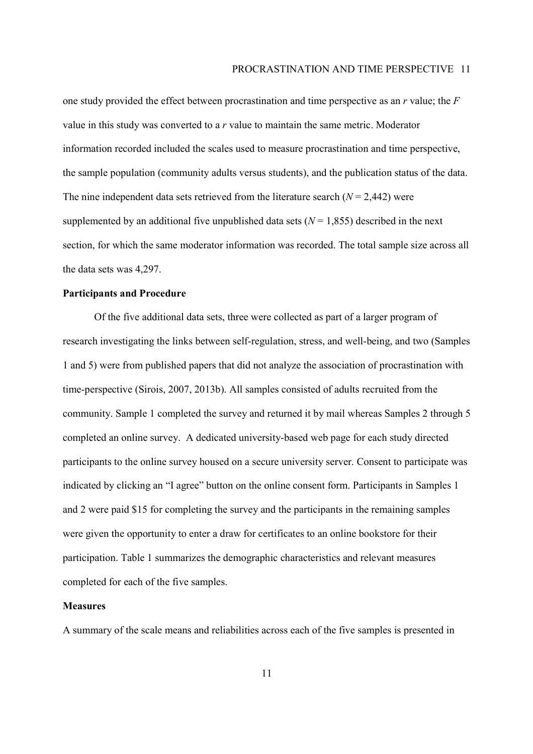one study provided the effect between procrastination and time perspective as an *r* value; the *F*  value in this study was converted to a *r* value to maintain the same metric. Moderator information recorded included the scales used to measure procrastination and time perspective, the sample population (community adults versus students), and the publication status of the data. The nine independent data sets retrieved from the literature search  $(N = 2,442)$  were supplemented by an additional five unpublished data sets  $(N = 1.855)$  described in the next section, for which the same moderator information was recorded. The total sample size across all the data sets was 4,297.

## **Participants and Procedure**

Of the five additional data sets, three were collected as part of a larger program of research investigating the links between self-regulation, stress, and well-being, and two (Samples 1 and 5) were from published papers that did not analyze the association of procrastination with time-perspective (Sirois, 2007, 2013b). All samples consisted of adults recruited from the community. Sample 1 completed the survey and returned it by mail whereas Samples 2 through 5 completed an online survey. A dedicated university-based web page for each study directed participants to the online survey housed on a secure university server. Consent to participate was indicated by clicking an "I agree" button on the online consent form. Participants in Samples 1 and 2 were paid \$15 for completing the survey and the participants in the remaining samples were given the opportunity to enter a draw for certificates to an online bookstore for their participation. Table 1 summarizes the demographic characteristics and relevant measures completed for each of the five samples.

## **Measures**

A summary of the scale means and reliabilities across each of the five samples is presented in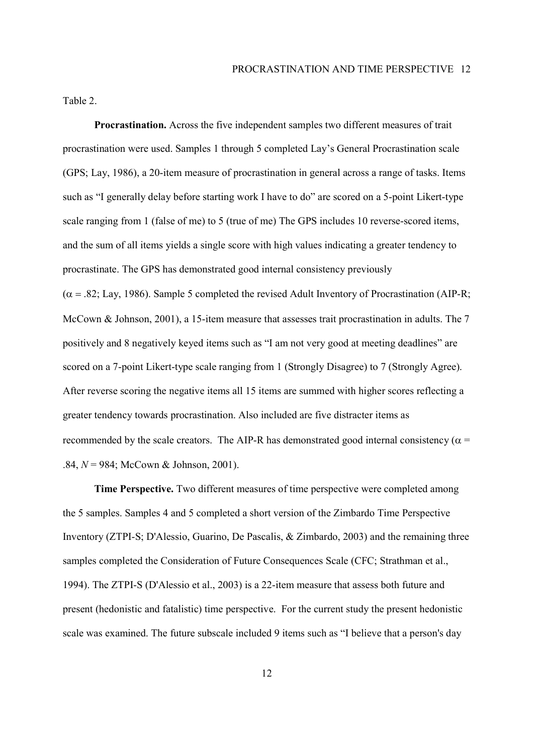Table 2.

**Procrastination.** Across the five independent samples two different measures of trait procrastination were used. Samples 1 through 5 completed Layís General Procrastination scale (GPS; Lay, 1986), a 20-item measure of procrastination in general across a range of tasks. Items such as "I generally delay before starting work I have to do" are scored on a 5-point Likert-type scale ranging from 1 (false of me) to 5 (true of me) The GPS includes 10 reverse-scored items, and the sum of all items yields a single score with high values indicating a greater tendency to procrastinate. The GPS has demonstrated good internal consistency previously  $(\alpha = .82;$  Lay, 1986). Sample 5 completed the revised Adult Inventory of Procrastination (AIP-R; McCown & Johnson, 2001), a 15-item measure that assesses trait procrastination in adults. The 7 positively and 8 negatively keyed items such as "I am not very good at meeting deadlines" are scored on a 7-point Likert-type scale ranging from 1 (Strongly Disagree) to 7 (Strongly Agree). After reverse scoring the negative items all 15 items are summed with higher scores reflecting a greater tendency towards procrastination. Also included are five distracter items as recommended by the scale creators. The AIP-R has demonstrated good internal consistency ( $\alpha$  = .84, *N* = 984; McCown & Johnson, 2001).

**Time Perspective.** Two different measures of time perspective were completed among the 5 samples. Samples 4 and 5 completed a short version of the Zimbardo Time Perspective Inventory (ZTPI-S; D'Alessio, Guarino, De Pascalis, & Zimbardo, 2003) and the remaining three samples completed the Consideration of Future Consequences Scale (CFC; Strathman et al., 1994). The ZTPI-S (D'Alessio et al., 2003) is a 22-item measure that assess both future and present (hedonistic and fatalistic) time perspective. For the current study the present hedonistic scale was examined. The future subscale included 9 items such as "I believe that a person's day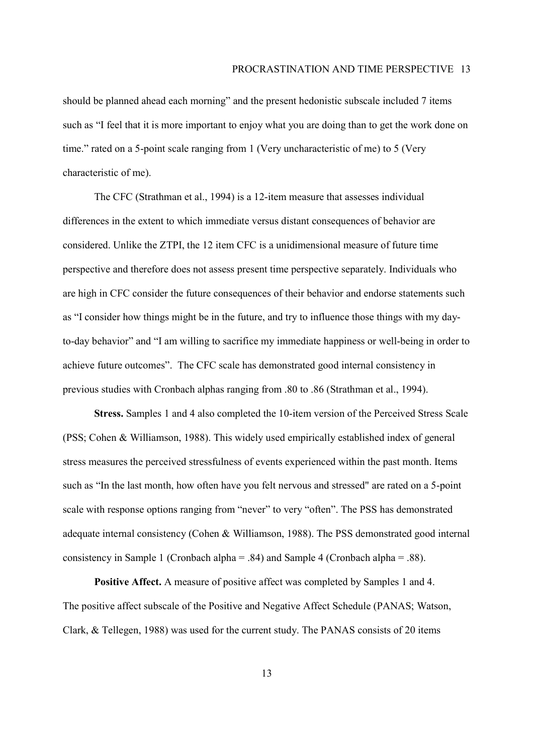should be planned ahead each morning" and the present hedonistic subscale included 7 items such as "I feel that it is more important to enjoy what you are doing than to get the work done on time." rated on a 5-point scale ranging from 1 (Very uncharacteristic of me) to 5 (Very characteristic of me).

The CFC (Strathman et al., 1994) is a 12-item measure that assesses individual differences in the extent to which immediate versus distant consequences of behavior are considered. Unlike the ZTPI, the 12 item CFC is a unidimensional measure of future time perspective and therefore does not assess present time perspective separately. Individuals who are high in CFC consider the future consequences of their behavior and endorse statements such as "I consider how things might be in the future, and try to influence those things with my dayto-day behavior" and "I am willing to sacrifice my immediate happiness or well-being in order to achieve future outcomes". The CFC scale has demonstrated good internal consistency in previous studies with Cronbach alphas ranging from .80 to .86 (Strathman et al., 1994).

**Stress.** Samples 1 and 4 also completed the 10-item version of the Perceived Stress Scale (PSS; Cohen & Williamson, 1988). This widely used empirically established index of general stress measures the perceived stressfulness of events experienced within the past month. Items such as "In the last month, how often have you felt nervous and stressed" are rated on a 5-point scale with response options ranging from "never" to very "often". The PSS has demonstrated adequate internal consistency (Cohen & Williamson, 1988). The PSS demonstrated good internal consistency in Sample 1 (Cronbach alpha = .84) and Sample 4 (Cronbach alpha = .88).

**Positive Affect.** A measure of positive affect was completed by Samples 1 and 4. The positive affect subscale of the Positive and Negative Affect Schedule (PANAS; Watson, Clark, & Tellegen, 1988) was used for the current study. The PANAS consists of 20 items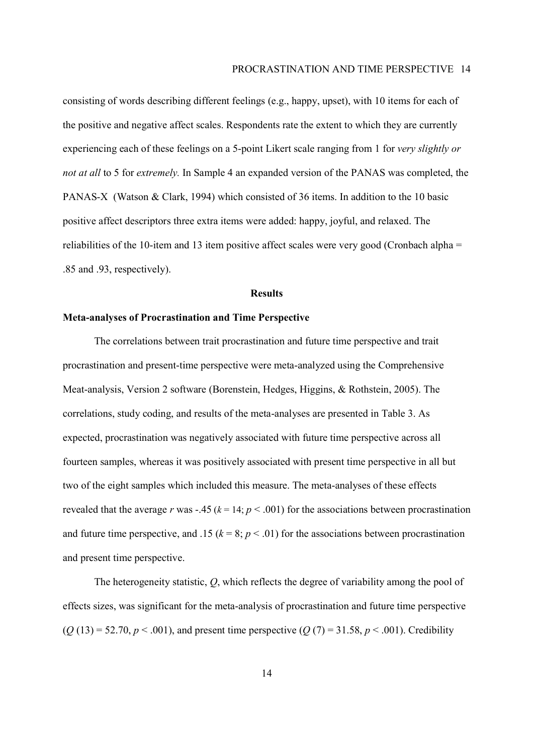consisting of words describing different feelings (e.g., happy, upset), with 10 items for each of the positive and negative affect scales. Respondents rate the extent to which they are currently experiencing each of these feelings on a 5-point Likert scale ranging from 1 for *very slightly or not at all* to 5 for *extremely.* In Sample 4 an expanded version of the PANAS was completed, the PANAS-X (Watson & Clark, 1994) which consisted of 36 items. In addition to the 10 basic positive affect descriptors three extra items were added: happy, joyful, and relaxed. The reliabilities of the 10-item and 13 item positive affect scales were very good (Cronbach alpha = .85 and .93, respectively).

## **Results**

## **Meta-analyses of Procrastination and Time Perspective**

The correlations between trait procrastination and future time perspective and trait procrastination and present-time perspective were meta-analyzed using the Comprehensive Meat-analysis, Version 2 software (Borenstein, Hedges, Higgins, & Rothstein, 2005). The correlations, study coding, and results of the meta-analyses are presented in Table 3. As expected, procrastination was negatively associated with future time perspective across all fourteen samples, whereas it was positively associated with present time perspective in all but two of the eight samples which included this measure. The meta-analyses of these effects revealed that the average *r* was -.45 ( $k = 14$ ;  $p < .001$ ) for the associations between procrastination and future time perspective, and .15 ( $k = 8$ ;  $p < .01$ ) for the associations between procrastination and present time perspective.

The heterogeneity statistic, *Q*, which reflects the degree of variability among the pool of effects sizes, was significant for the meta-analysis of procrastination and future time perspective  $(Q (13) = 52.70, p < .001)$ , and present time perspective  $(Q (7) = 31.58, p < .001)$ . Credibility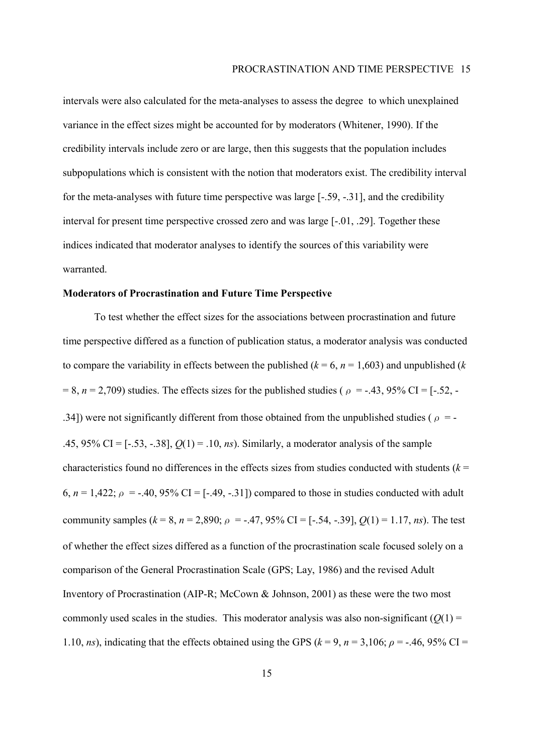intervals were also calculated for the meta-analyses to assess the degree to which unexplained variance in the effect sizes might be accounted for by moderators (Whitener, 1990). If the credibility intervals include zero or are large, then this suggests that the population includes subpopulations which is consistent with the notion that moderators exist. The credibility interval for the meta-analyses with future time perspective was large [-.59, -.31], and the credibility interval for present time perspective crossed zero and was large [-.01, .29]. Together these indices indicated that moderator analyses to identify the sources of this variability were warranted.

## **Moderators of Procrastination and Future Time Perspective**

To test whether the effect sizes for the associations between procrastination and future time perspective differed as a function of publication status, a moderator analysis was conducted to compare the variability in effects between the published  $(k = 6, n = 1,603)$  and unpublished  $(k$  $= 8$ ,  $n = 2,709$ ) studies. The effects sizes for the published studies ( $\rho = -0.43$ , 95% CI = [-.52, -.34]) were not significantly different from those obtained from the unpublished studies ( $\rho = -$ .45, 95% CI = [-.53, -.38], *Q*(1) = .10, *ns*). Similarly, a moderator analysis of the sample characteristics found no differences in the effects sizes from studies conducted with students  $(k =$ 6,  $n = 1,422$ ;  $\rho = -.40,95\%$  CI = [-.49, -.31]) compared to those in studies conducted with adult community samples ( $k = 8$ ,  $n = 2,890$ ;  $\rho = -0.47$ ,  $95\%$  CI = [-.54, -.39],  $Q(1) = 1.17$ , *ns*). The test of whether the effect sizes differed as a function of the procrastination scale focused solely on a comparison of the General Procrastination Scale (GPS; Lay, 1986) and the revised Adult Inventory of Procrastination (AIP-R; McCown & Johnson, 2001) as these were the two most commonly used scales in the studies. This moderator analysis was also non-significant  $(Q(1)$  = 1.10, *ns*), indicating that the effects obtained using the GPS ( $k = 9$ ,  $n = 3,106$ ;  $\rho = -.46, 95\%$  CI =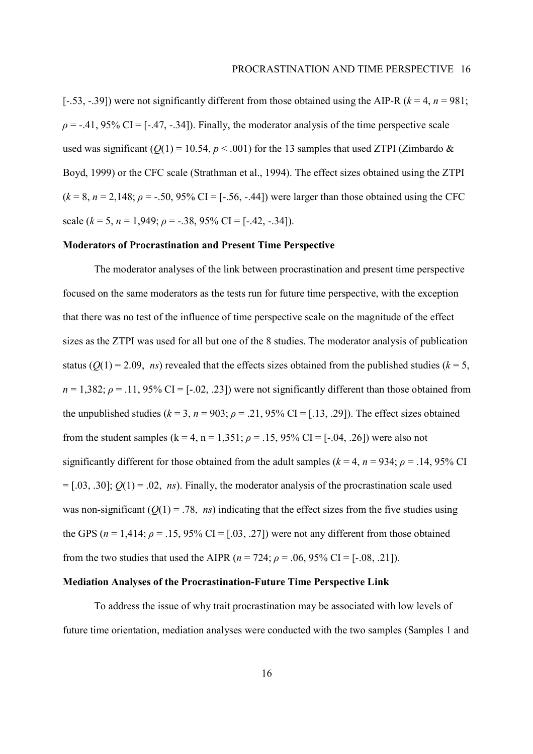[-.53, -.39]) were not significantly different from those obtained using the AIP-R ( $k = 4$ ,  $n = 981$ ;  $\rho$  = -.41, 95% CI = [-.47, -.34]). Finally, the moderator analysis of the time perspective scale used was significant ( $Q(1) = 10.54$ ,  $p < .001$ ) for the 13 samples that used ZTPI (Zimbardo & Boyd, 1999) or the CFC scale (Strathman et al., 1994). The effect sizes obtained using the ZTPI  $(k = 8, n = 2,148; \rho = -.50,95\% \text{ CI} = [-.56, -.44])$  were larger than those obtained using the CFC scale  $(k = 5, n = 1,949; \rho = -.38, 95\% \text{ CI} = [-.42, -.34]).$ 

## **Moderators of Procrastination and Present Time Perspective**

The moderator analyses of the link between procrastination and present time perspective focused on the same moderators as the tests run for future time perspective, with the exception that there was no test of the influence of time perspective scale on the magnitude of the effect sizes as the ZTPI was used for all but one of the 8 studies. The moderator analysis of publication status ( $Q(1) = 2.09$ , *ns*) revealed that the effects sizes obtained from the published studies ( $k = 5$ ,  $n = 1,382$ ;  $\rho = .11,95\%$  CI = [-.02, .23]) were not significantly different than those obtained from the unpublished studies ( $k = 3$ ,  $n = 903$ ;  $\rho = .21$ , 95% CI = [.13, .29]). The effect sizes obtained from the student samples  $(k = 4, n = 1,351; \rho = .15, 95\% \text{ CI} = [-.04, .26])$  were also not significantly different for those obtained from the adult samples ( $k = 4$ ,  $n = 934$ ;  $\rho = .14$ , 95% CI  $=[.03, .30];$   $Q(1) = .02$ , *ns*). Finally, the moderator analysis of the procrastination scale used was non-significant  $(Q(1) = .78, ns)$  indicating that the effect sizes from the five studies using the GPS ( $n = 1,414$ ;  $\rho = .15,95\%$  CI = [.03, .27]) were not any different from those obtained from the two studies that used the AIPR ( $n = 724$ ;  $\rho = .06$ , 95% CI = [-.08, .21]).

## **Mediation Analyses of the Procrastination-Future Time Perspective Link**

To address the issue of why trait procrastination may be associated with low levels of future time orientation, mediation analyses were conducted with the two samples (Samples 1 and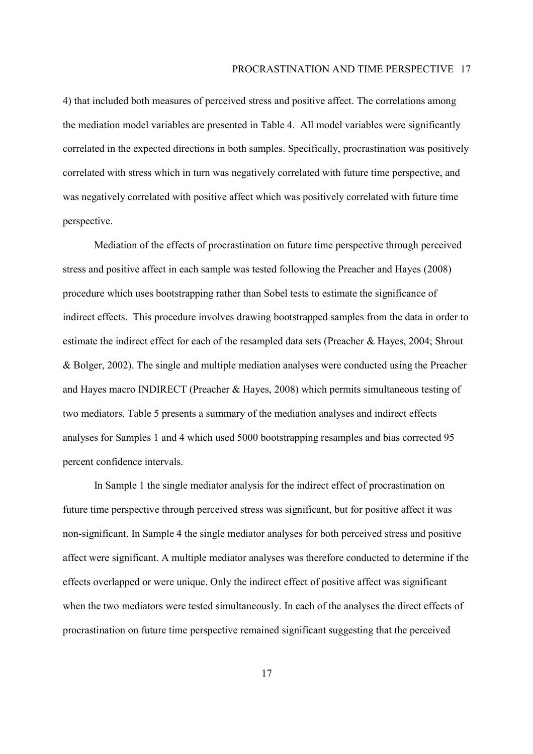4) that included both measures of perceived stress and positive affect. The correlations among the mediation model variables are presented in Table 4. All model variables were significantly correlated in the expected directions in both samples. Specifically, procrastination was positively correlated with stress which in turn was negatively correlated with future time perspective, and was negatively correlated with positive affect which was positively correlated with future time perspective.

Mediation of the effects of procrastination on future time perspective through perceived stress and positive affect in each sample was tested following the Preacher and Hayes (2008) procedure which uses bootstrapping rather than Sobel tests to estimate the significance of indirect effects. This procedure involves drawing bootstrapped samples from the data in order to estimate the indirect effect for each of the resampled data sets (Preacher & Hayes, 2004; Shrout & Bolger, 2002). The single and multiple mediation analyses were conducted using the Preacher and Hayes macro INDIRECT (Preacher & Hayes, 2008) which permits simultaneous testing of two mediators. Table 5 presents a summary of the mediation analyses and indirect effects analyses for Samples 1 and 4 which used 5000 bootstrapping resamples and bias corrected 95 percent confidence intervals.

In Sample 1 the single mediator analysis for the indirect effect of procrastination on future time perspective through perceived stress was significant, but for positive affect it was non-significant. In Sample 4 the single mediator analyses for both perceived stress and positive affect were significant. A multiple mediator analyses was therefore conducted to determine if the effects overlapped or were unique. Only the indirect effect of positive affect was significant when the two mediators were tested simultaneously. In each of the analyses the direct effects of procrastination on future time perspective remained significant suggesting that the perceived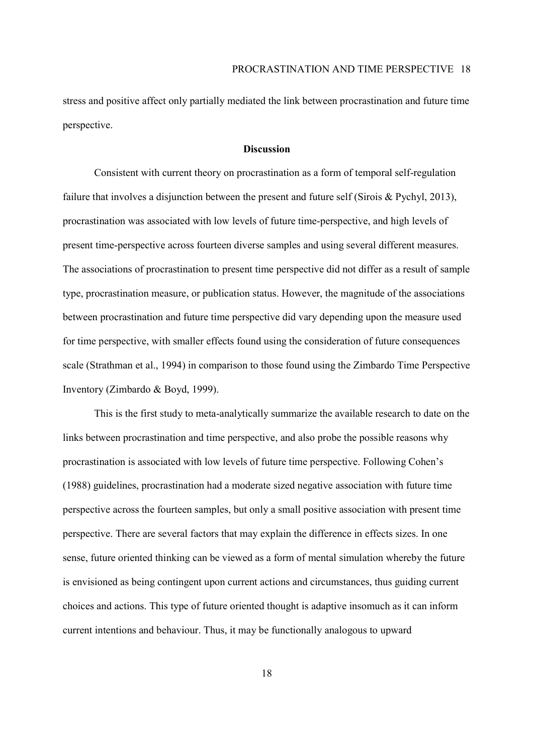stress and positive affect only partially mediated the link between procrastination and future time perspective.

## **Discussion**

Consistent with current theory on procrastination as a form of temporal self-regulation failure that involves a disjunction between the present and future self (Sirois & Pychyl, 2013), procrastination was associated with low levels of future time-perspective, and high levels of present time-perspective across fourteen diverse samples and using several different measures. The associations of procrastination to present time perspective did not differ as a result of sample type, procrastination measure, or publication status. However, the magnitude of the associations between procrastination and future time perspective did vary depending upon the measure used for time perspective, with smaller effects found using the consideration of future consequences scale (Strathman et al., 1994) in comparison to those found using the Zimbardo Time Perspective Inventory (Zimbardo & Boyd, 1999).

This is the first study to meta-analytically summarize the available research to date on the links between procrastination and time perspective, and also probe the possible reasons why procrastination is associated with low levels of future time perspective. Following Cohenís (1988) guidelines, procrastination had a moderate sized negative association with future time perspective across the fourteen samples, but only a small positive association with present time perspective. There are several factors that may explain the difference in effects sizes. In one sense, future oriented thinking can be viewed as a form of mental simulation whereby the future is envisioned as being contingent upon current actions and circumstances, thus guiding current choices and actions. This type of future oriented thought is adaptive insomuch as it can inform current intentions and behaviour. Thus, it may be functionally analogous to upward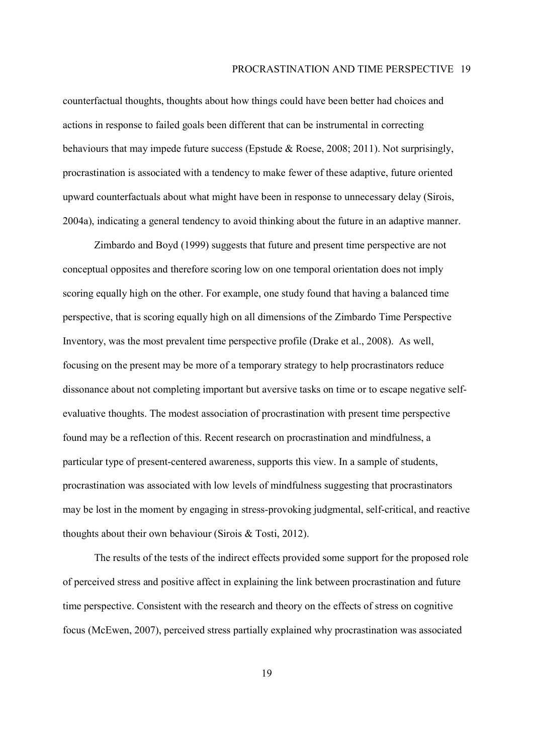counterfactual thoughts, thoughts about how things could have been better had choices and actions in response to failed goals been different that can be instrumental in correcting behaviours that may impede future success (Epstude & Roese, 2008; 2011). Not surprisingly, procrastination is associated with a tendency to make fewer of these adaptive, future oriented upward counterfactuals about what might have been in response to unnecessary delay (Sirois, 2004a), indicating a general tendency to avoid thinking about the future in an adaptive manner.

Zimbardo and Boyd (1999) suggests that future and present time perspective are not conceptual opposites and therefore scoring low on one temporal orientation does not imply scoring equally high on the other. For example, one study found that having a balanced time perspective, that is scoring equally high on all dimensions of the Zimbardo Time Perspective Inventory, was the most prevalent time perspective profile (Drake et al., 2008). As well, focusing on the present may be more of a temporary strategy to help procrastinators reduce dissonance about not completing important but aversive tasks on time or to escape negative selfevaluative thoughts. The modest association of procrastination with present time perspective found may be a reflection of this. Recent research on procrastination and mindfulness, a particular type of present-centered awareness, supports this view. In a sample of students, procrastination was associated with low levels of mindfulness suggesting that procrastinators may be lost in the moment by engaging in stress-provoking judgmental, self-critical, and reactive thoughts about their own behaviour (Sirois & Tosti, 2012).

The results of the tests of the indirect effects provided some support for the proposed role of perceived stress and positive affect in explaining the link between procrastination and future time perspective. Consistent with the research and theory on the effects of stress on cognitive focus (McEwen, 2007), perceived stress partially explained why procrastination was associated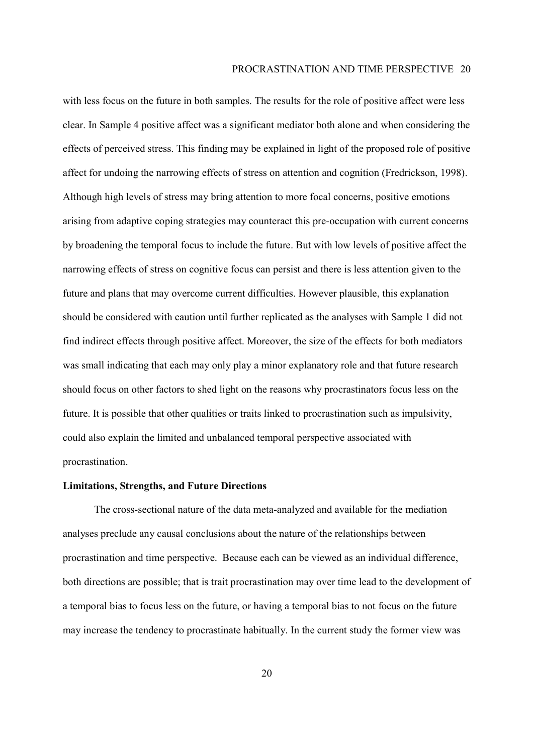with less focus on the future in both samples. The results for the role of positive affect were less clear. In Sample 4 positive affect was a significant mediator both alone and when considering the effects of perceived stress. This finding may be explained in light of the proposed role of positive affect for undoing the narrowing effects of stress on attention and cognition (Fredrickson, 1998). Although high levels of stress may bring attention to more focal concerns, positive emotions arising from adaptive coping strategies may counteract this pre-occupation with current concerns by broadening the temporal focus to include the future. But with low levels of positive affect the narrowing effects of stress on cognitive focus can persist and there is less attention given to the future and plans that may overcome current difficulties. However plausible, this explanation should be considered with caution until further replicated as the analyses with Sample 1 did not find indirect effects through positive affect. Moreover, the size of the effects for both mediators was small indicating that each may only play a minor explanatory role and that future research should focus on other factors to shed light on the reasons why procrastinators focus less on the future. It is possible that other qualities or traits linked to procrastination such as impulsivity, could also explain the limited and unbalanced temporal perspective associated with procrastination.

## **Limitations, Strengths, and Future Directions**

 The cross-sectional nature of the data meta-analyzed and available for the mediation analyses preclude any causal conclusions about the nature of the relationships between procrastination and time perspective. Because each can be viewed as an individual difference, both directions are possible; that is trait procrastination may over time lead to the development of a temporal bias to focus less on the future, or having a temporal bias to not focus on the future may increase the tendency to procrastinate habitually. In the current study the former view was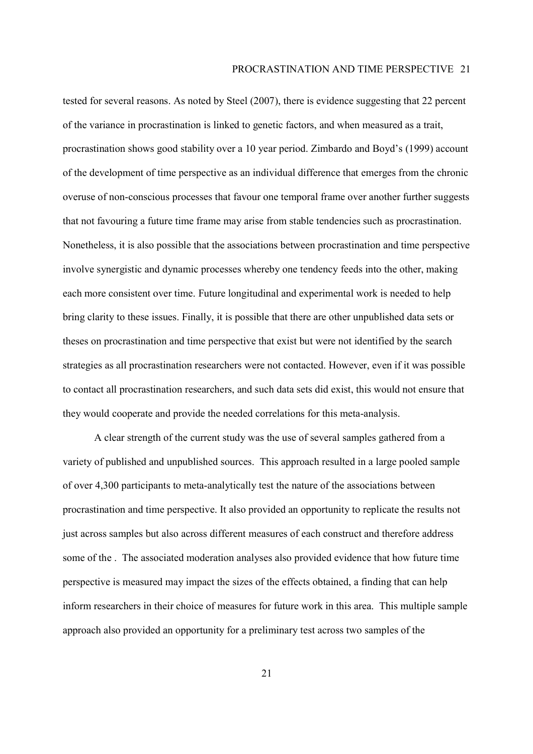tested for several reasons. As noted by Steel (2007), there is evidence suggesting that 22 percent of the variance in procrastination is linked to genetic factors, and when measured as a trait, procrastination shows good stability over a 10 year period. Zimbardo and Boyd's (1999) account of the development of time perspective as an individual difference that emerges from the chronic overuse of non-conscious processes that favour one temporal frame over another further suggests that not favouring a future time frame may arise from stable tendencies such as procrastination. Nonetheless, it is also possible that the associations between procrastination and time perspective involve synergistic and dynamic processes whereby one tendency feeds into the other, making each more consistent over time. Future longitudinal and experimental work is needed to help bring clarity to these issues. Finally, it is possible that there are other unpublished data sets or theses on procrastination and time perspective that exist but were not identified by the search strategies as all procrastination researchers were not contacted. However, even if it was possible to contact all procrastination researchers, and such data sets did exist, this would not ensure that they would cooperate and provide the needed correlations for this meta-analysis.

A clear strength of the current study was the use of several samples gathered from a variety of published and unpublished sources. This approach resulted in a large pooled sample of over 4,300 participants to meta-analytically test the nature of the associations between procrastination and time perspective. It also provided an opportunity to replicate the results not just across samples but also across different measures of each construct and therefore address some of the . The associated moderation analyses also provided evidence that how future time perspective is measured may impact the sizes of the effects obtained, a finding that can help inform researchers in their choice of measures for future work in this area. This multiple sample approach also provided an opportunity for a preliminary test across two samples of the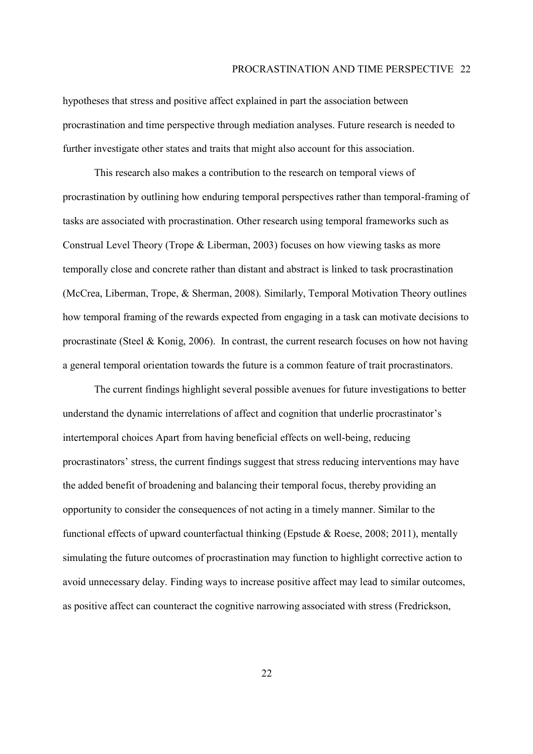hypotheses that stress and positive affect explained in part the association between procrastination and time perspective through mediation analyses. Future research is needed to further investigate other states and traits that might also account for this association.

This research also makes a contribution to the research on temporal views of procrastination by outlining how enduring temporal perspectives rather than temporal-framing of tasks are associated with procrastination. Other research using temporal frameworks such as Construal Level Theory (Trope & Liberman, 2003) focuses on how viewing tasks as more temporally close and concrete rather than distant and abstract is linked to task procrastination (McCrea, Liberman, Trope, & Sherman, 2008). Similarly, Temporal Motivation Theory outlines how temporal framing of the rewards expected from engaging in a task can motivate decisions to procrastinate (Steel & Konig, 2006). In contrast, the current research focuses on how not having a general temporal orientation towards the future is a common feature of trait procrastinators.

The current findings highlight several possible avenues for future investigations to better understand the dynamic interrelations of affect and cognition that underlie procrastinator's intertemporal choices Apart from having beneficial effects on well-being, reducing procrastinatorsí stress, the current findings suggest that stress reducing interventions may have the added benefit of broadening and balancing their temporal focus, thereby providing an opportunity to consider the consequences of not acting in a timely manner. Similar to the functional effects of upward counterfactual thinking (Epstude & Roese, 2008; 2011), mentally simulating the future outcomes of procrastination may function to highlight corrective action to avoid unnecessary delay. Finding ways to increase positive affect may lead to similar outcomes, as positive affect can counteract the cognitive narrowing associated with stress (Fredrickson,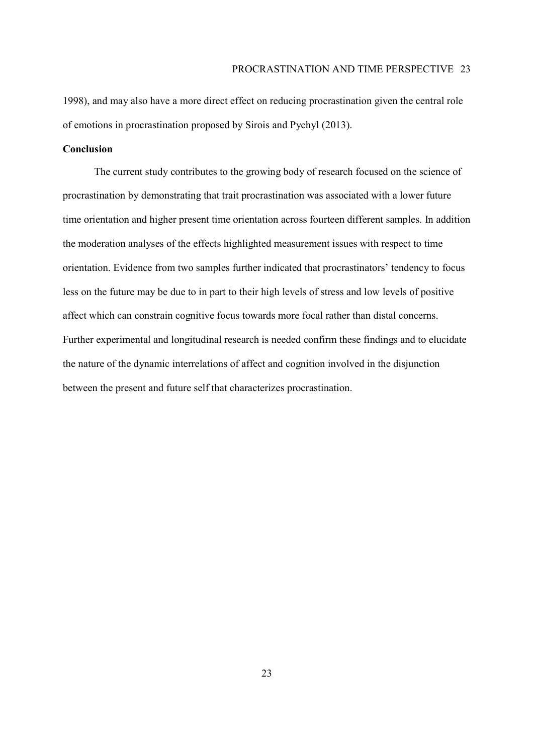1998), and may also have a more direct effect on reducing procrastination given the central role of emotions in procrastination proposed by Sirois and Pychyl (2013).

## **Conclusion**

 The current study contributes to the growing body of research focused on the science of procrastination by demonstrating that trait procrastination was associated with a lower future time orientation and higher present time orientation across fourteen different samples. In addition the moderation analyses of the effects highlighted measurement issues with respect to time orientation. Evidence from two samples further indicated that procrastinators' tendency to focus less on the future may be due to in part to their high levels of stress and low levels of positive affect which can constrain cognitive focus towards more focal rather than distal concerns. Further experimental and longitudinal research is needed confirm these findings and to elucidate the nature of the dynamic interrelations of affect and cognition involved in the disjunction between the present and future self that characterizes procrastination.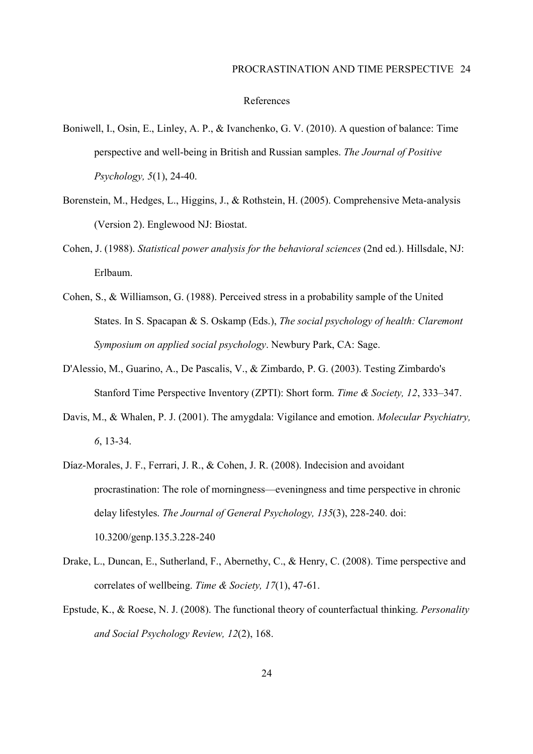#### References

- Boniwell, I., Osin, E., Linley, A. P., & Ivanchenko, G. V. (2010). A question of balance: Time perspective and well-being in British and Russian samples. *The Journal of Positive Psychology, 5*(1), 24-40.
- Borenstein, M., Hedges, L., Higgins, J., & Rothstein, H. (2005). Comprehensive Meta-analysis (Version 2). Englewood NJ: Biostat.
- Cohen, J. (1988). *Statistical power analysis for the behavioral sciences* (2nd ed.). Hillsdale, NJ: Erlbaum.
- Cohen, S., & Williamson, G. (1988). Perceived stress in a probability sample of the United States. In S. Spacapan & S. Oskamp (Eds.), *The social psychology of health: Claremont Symposium on applied social psychology*. Newbury Park, CA: Sage.
- D'Alessio, M., Guarino, A., De Pascalis, V., & Zimbardo, P. G. (2003). Testing Zimbardo's Stanford Time Perspective Inventory (ZPTI): Short form. *Time & Society, 12, 333–347.*
- Davis, M., & Whalen, P. J. (2001). The amygdala: Vigilance and emotion. *Molecular Psychiatry, 6*, 13-34.
- Díaz-Morales, J. F., Ferrari, J. R., & Cohen, J. R. (2008). Indecision and avoidant procrastination: The role of morningness—eveningness and time perspective in chronic delay lifestyles. *The Journal of General Psychology, 135*(3), 228-240. doi: 10.3200/genp.135.3.228-240
- Drake, L., Duncan, E., Sutherland, F., Abernethy, C., & Henry, C. (2008). Time perspective and correlates of wellbeing. *Time & Society, 17*(1), 47-61.
- Epstude, K., & Roese, N. J. (2008). The functional theory of counterfactual thinking. *Personality and Social Psychology Review, 12*(2), 168.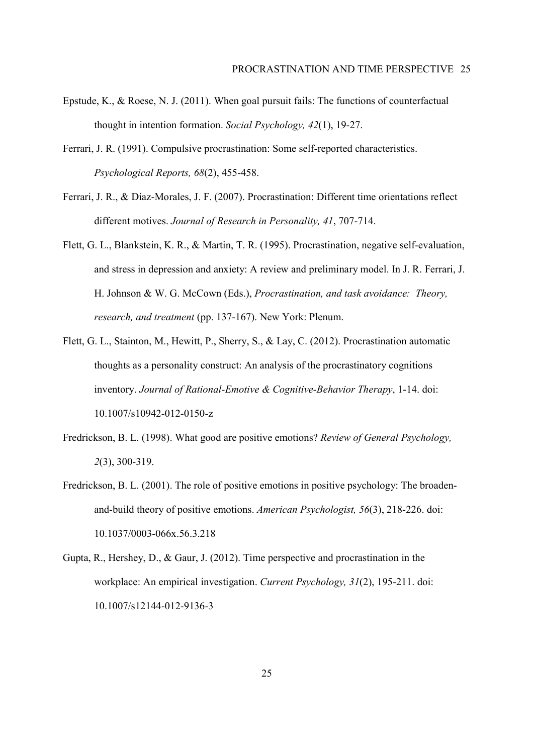- Epstude, K., & Roese, N. J. (2011). When goal pursuit fails: The functions of counterfactual thought in intention formation. *Social Psychology, 42*(1), 19-27.
- Ferrari, J. R. (1991). Compulsive procrastination: Some self-reported characteristics. *Psychological Reports, 68*(2), 455-458.
- Ferrari, J. R., & DÌaz-Morales, J. F. (2007). Procrastination: Different time orientations reflect different motives. *Journal of Research in Personality, 41*, 707-714.
- Flett, G. L., Blankstein, K. R., & Martin, T. R. (1995). Procrastination, negative self-evaluation, and stress in depression and anxiety: A review and preliminary model. In J. R. Ferrari, J. H. Johnson & W. G. McCown (Eds.), *Procrastination, and task avoidance: Theory, research, and treatment* (pp. 137-167). New York: Plenum.
- Flett, G. L., Stainton, M., Hewitt, P., Sherry, S., & Lay, C. (2012). Procrastination automatic thoughts as a personality construct: An analysis of the procrastinatory cognitions inventory. *Journal of Rational-Emotive & Cognitive-Behavior Therapy*, 1-14. doi: 10.1007/s10942-012-0150-z
- Fredrickson, B. L. (1998). What good are positive emotions? *Review of General Psychology, 2*(3), 300-319.
- Fredrickson, B. L. (2001). The role of positive emotions in positive psychology: The broadenand-build theory of positive emotions. *American Psychologist, 56*(3), 218-226. doi: 10.1037/0003-066x.56.3.218
- Gupta, R., Hershey, D., & Gaur, J. (2012). Time perspective and procrastination in the workplace: An empirical investigation. *Current Psychology, 31*(2), 195-211. doi: 10.1007/s12144-012-9136-3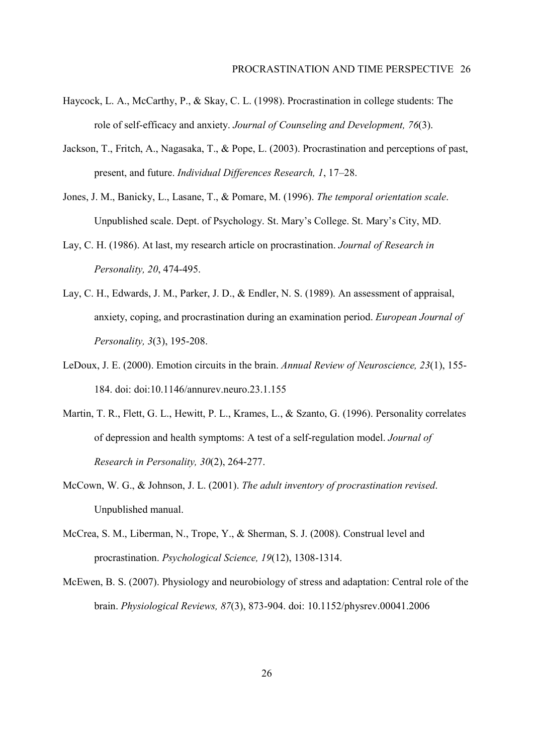- Haycock, L. A., McCarthy, P., & Skay, C. L. (1998). Procrastination in college students: The role of self-efficacy and anxiety. *Journal of Counseling and Development, 76*(3).
- Jackson, T., Fritch, A., Nagasaka, T., & Pope, L. (2003). Procrastination and perceptions of past, present, and future. *Individual Differences Research, 1, 17*–28.
- Jones, J. M., Banicky, L., Lasane, T., & Pomare, M. (1996). *The temporal orientation scale*. Unpublished scale. Dept. of Psychology. St. Maryís College. St. Maryís City, MD.
- Lay, C. H. (1986). At last, my research article on procrastination. *Journal of Research in Personality, 20*, 474-495.
- Lay, C. H., Edwards, J. M., Parker, J. D., & Endler, N. S. (1989). An assessment of appraisal, anxiety, coping, and procrastination during an examination period. *European Journal of Personality, 3*(3), 195-208.
- LeDoux, J. E. (2000). Emotion circuits in the brain. *Annual Review of Neuroscience, 23*(1), 155- 184. doi: doi:10.1146/annurev.neuro.23.1.155
- Martin, T. R., Flett, G. L., Hewitt, P. L., Krames, L., & Szanto, G. (1996). Personality correlates of depression and health symptoms: A test of a self-regulation model. *Journal of Research in Personality, 30*(2), 264-277.
- McCown, W. G., & Johnson, J. L. (2001). *The adult inventory of procrastination revised*. Unpublished manual.
- McCrea, S. M., Liberman, N., Trope, Y., & Sherman, S. J. (2008). Construal level and procrastination. *Psychological Science, 19*(12), 1308-1314.
- McEwen, B. S. (2007). Physiology and neurobiology of stress and adaptation: Central role of the brain. *Physiological Reviews, 87*(3), 873-904. doi: 10.1152/physrev.00041.2006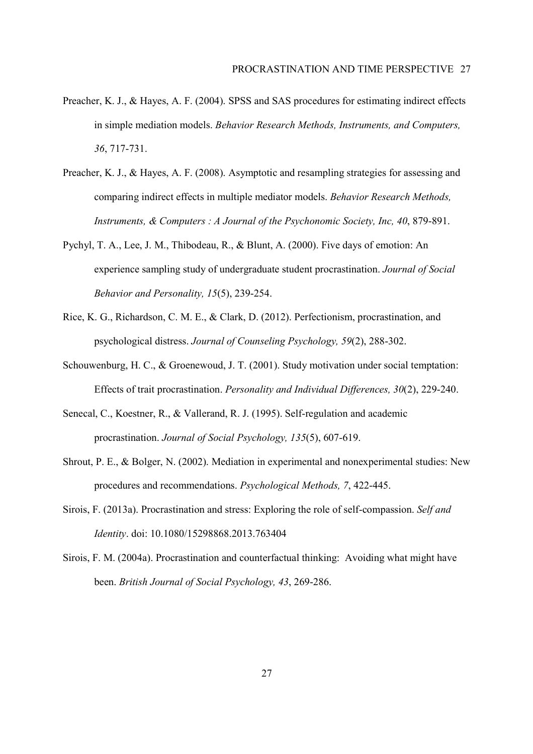- Preacher, K. J., & Hayes, A. F. (2004). SPSS and SAS procedures for estimating indirect effects in simple mediation models. *Behavior Research Methods, Instruments, and Computers, 36*, 717-731.
- Preacher, K. J., & Hayes, A. F. (2008). Asymptotic and resampling strategies for assessing and comparing indirect effects in multiple mediator models. *Behavior Research Methods, Instruments, & Computers : A Journal of the Psychonomic Society, Inc, 40*, 879-891.
- Pychyl, T. A., Lee, J. M., Thibodeau, R., & Blunt, A. (2000). Five days of emotion: An experience sampling study of undergraduate student procrastination. *Journal of Social Behavior and Personality, 15*(5), 239-254.
- Rice, K. G., Richardson, C. M. E., & Clark, D. (2012). Perfectionism, procrastination, and psychological distress. *Journal of Counseling Psychology, 59*(2), 288-302.
- Schouwenburg, H. C., & Groenewoud, J. T. (2001). Study motivation under social temptation: Effects of trait procrastination. *Personality and Individual Differences, 30*(2), 229-240.
- Senecal, C., Koestner, R., & Vallerand, R. J. (1995). Self-regulation and academic procrastination. *Journal of Social Psychology, 135*(5), 607-619.
- Shrout, P. E., & Bolger, N. (2002). Mediation in experimental and nonexperimental studies: New procedures and recommendations. *Psychological Methods, 7*, 422-445.
- Sirois, F. (2013a). Procrastination and stress: Exploring the role of self-compassion. *Self and Identity*. doi: 10.1080/15298868.2013.763404
- Sirois, F. M. (2004a). Procrastination and counterfactual thinking: Avoiding what might have been. *British Journal of Social Psychology, 43*, 269-286.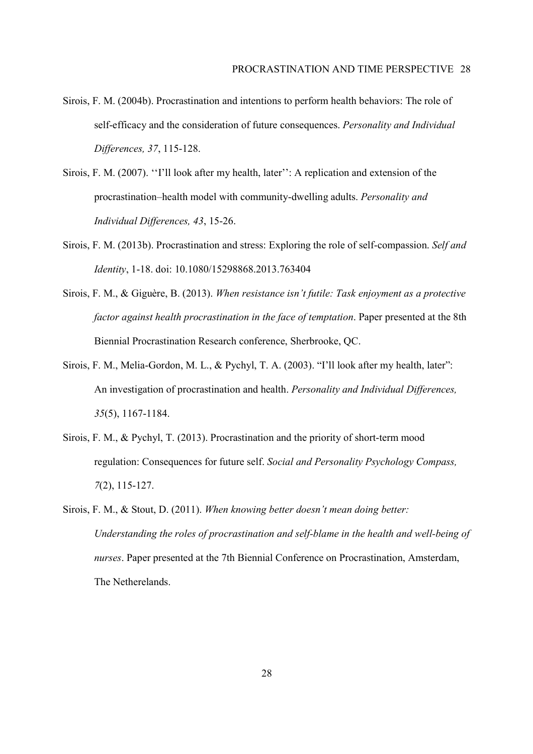- Sirois, F. M. (2004b). Procrastination and intentions to perform health behaviors: The role of self-efficacy and the consideration of future consequences. *Personality and Individual Differences, 37*, 115-128.
- Sirois, F. M. (2007). "I'll look after my health, later": A replication and extension of the procrastination–health model with community-dwelling adults. *Personality and Individual Differences, 43*, 15-26.
- Sirois, F. M. (2013b). Procrastination and stress: Exploring the role of self-compassion. *Self and Identity*, 1-18. doi: 10.1080/15298868.2013.763404
- Sirois, F. M., & Giguère, B. (2013). *When resistance isn't futile: Task enjoyment as a protective factor against health procrastination in the face of temptation*. Paper presented at the 8th Biennial Procrastination Research conference, Sherbrooke, QC.
- Sirois, F. M., Melia-Gordon, M. L., & Pychyl, T. A. (2003). "I'll look after my health, later": An investigation of procrastination and health. *Personality and Individual Differences, 35*(5), 1167-1184.
- Sirois, F. M., & Pychyl, T. (2013). Procrastination and the priority of short-term mood regulation: Consequences for future self. *Social and Personality Psychology Compass, 7*(2), 115-127.
- Sirois, F. M., & Stout, D. (2011). *When knowing better doesn't mean doing better: Understanding the roles of procrastination and self-blame in the health and well-being of nurses*. Paper presented at the 7th Biennial Conference on Procrastination, Amsterdam, The Netherelands.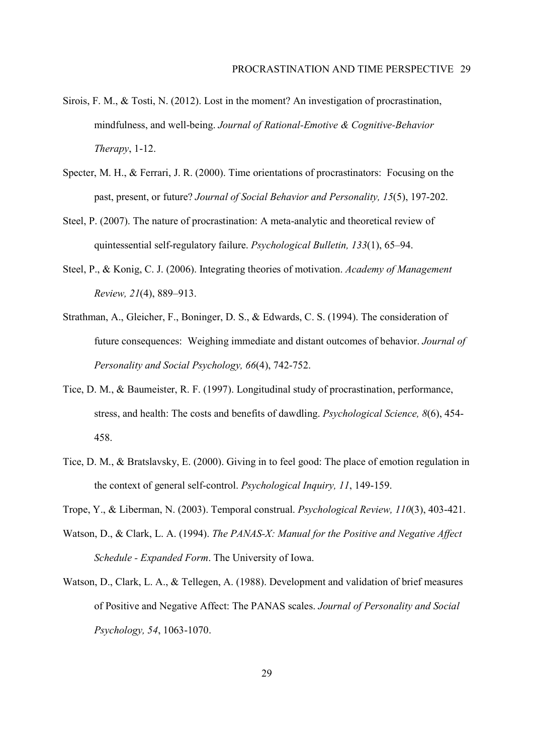- Sirois, F. M., & Tosti, N. (2012). Lost in the moment? An investigation of procrastination, mindfulness, and well-being. *Journal of Rational-Emotive & Cognitive-Behavior Therapy*, 1-12.
- Specter, M. H., & Ferrari, J. R. (2000). Time orientations of procrastinators: Focusing on the past, present, or future? *Journal of Social Behavior and Personality, 15*(5), 197-202.
- Steel, P. (2007). The nature of procrastination: A meta-analytic and theoretical review of quintessential self-regulatory failure. *Psychological Bulletin, 133*(1), 65–94.
- Steel, P., & Konig, C. J. (2006). Integrating theories of motivation. *Academy of Management Review, 21*(4), 889-913.
- Strathman, A., Gleicher, F., Boninger, D. S., & Edwards, C. S. (1994). The consideration of future consequences: Weighing immediate and distant outcomes of behavior. *Journal of Personality and Social Psychology, 66*(4), 742-752.
- Tice, D. M., & Baumeister, R. F. (1997). Longitudinal study of procrastination, performance, stress, and health: The costs and benefits of dawdling. *Psychological Science, 8*(6), 454- 458.
- Tice, D. M., & Bratslavsky, E. (2000). Giving in to feel good: The place of emotion regulation in the context of general self-control. *Psychological Inquiry, 11*, 149-159.
- Trope, Y., & Liberman, N. (2003). Temporal construal. *Psychological Review, 110*(3), 403-421.
- Watson, D., & Clark, L. A. (1994). *The PANAS-X: Manual for the Positive and Negative Affect Schedule - Expanded Form*. The University of Iowa.
- Watson, D., Clark, L. A., & Tellegen, A. (1988). Development and validation of brief measures of Positive and Negative Affect: The PANAS scales. *Journal of Personality and Social Psychology, 54*, 1063-1070.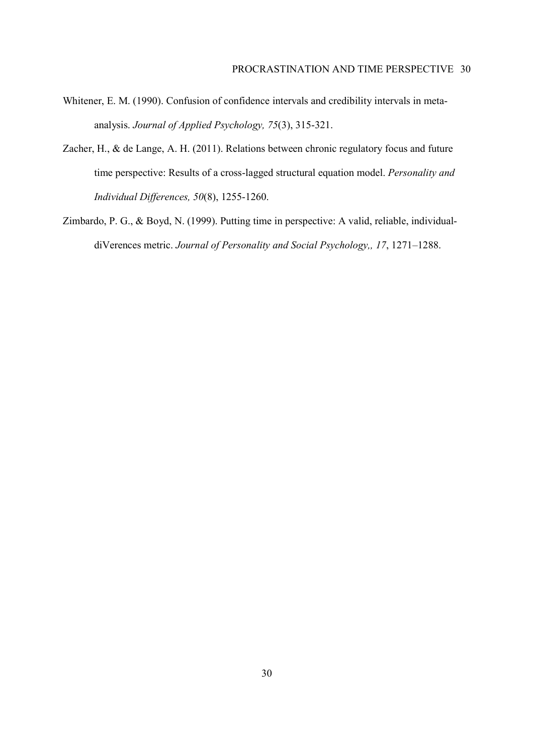- Whitener, E. M. (1990). Confusion of confidence intervals and credibility intervals in metaanalysis. *Journal of Applied Psychology, 75*(3), 315-321.
- Zacher, H., & de Lange, A. H. (2011). Relations between chronic regulatory focus and future time perspective: Results of a cross-lagged structural equation model. *Personality and Individual Differences, 50*(8), 1255-1260.
- Zimbardo, P. G., & Boyd, N. (1999). Putting time in perspective: A valid, reliable, individualdiVerences metric. *Journal of Personality and Social Psychology*,, 17, 1271-1288.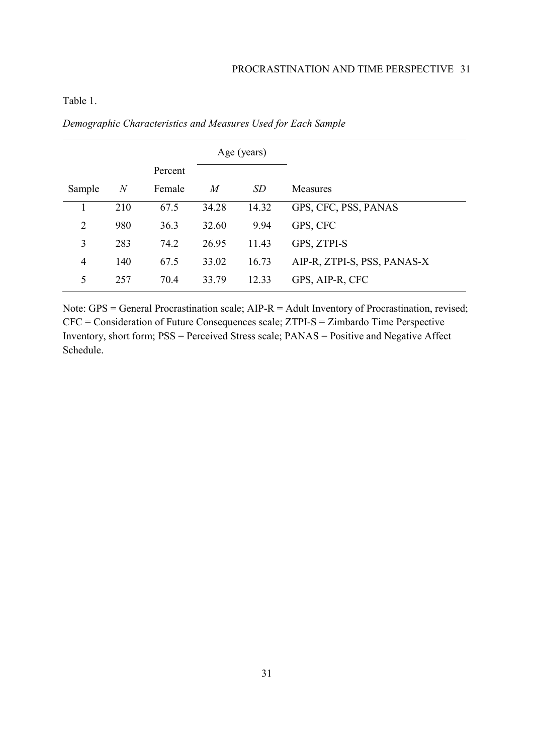## Table 1.

|                |                  |         |       | Age (years) |                             |
|----------------|------------------|---------|-------|-------------|-----------------------------|
|                |                  | Percent |       |             |                             |
| Sample         | $\boldsymbol{N}$ | Female  | M     | SD          | Measures                    |
|                | 210              | 67.5    | 34.28 | 14.32       | GPS, CFC, PSS, PANAS        |
| $\overline{2}$ | 980              | 36.3    | 32.60 | 9.94        | GPS, CFC                    |
| 3              | 283              | 74.2    | 26.95 | 11.43       | GPS, ZTPI-S                 |
| 4              | 140              | 67.5    | 33.02 | 16.73       | AIP-R, ZTPI-S, PSS, PANAS-X |
| 5              | 257              | 70.4    | 33.79 | 12.33       | GPS, AIP-R, CFC             |

*Demographic Characteristics and Measures Used for Each Sample* 

Note: GPS = General Procrastination scale; AIP-R = Adult Inventory of Procrastination, revised; CFC = Consideration of Future Consequences scale; ZTPI-S = Zimbardo Time Perspective Inventory, short form; PSS = Perceived Stress scale; PANAS = Positive and Negative Affect Schedule.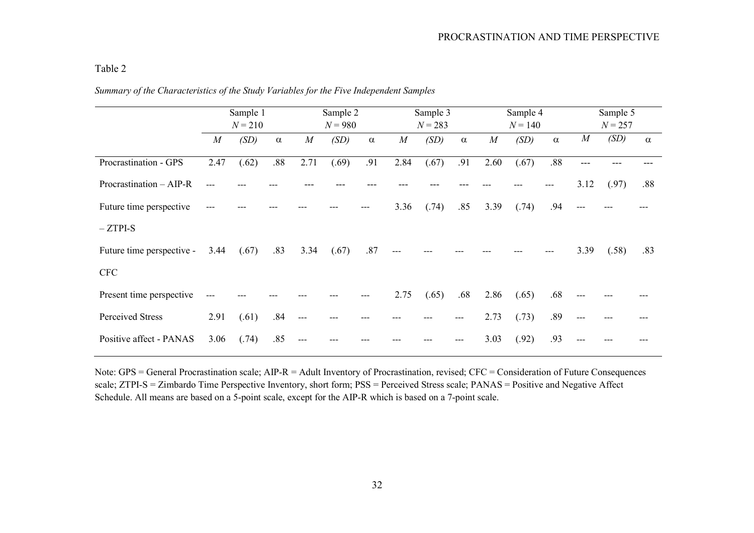## Table 2

|                           | Sample 1<br>$N = 210$ |       | Sample 2<br>$N = 980$ |          | Sample 3<br>$N = 283$ |          | Sample 4<br>$N = 140$ |       | Sample 5<br>$N = 257$ |      |       |          |                |       |          |
|---------------------------|-----------------------|-------|-----------------------|----------|-----------------------|----------|-----------------------|-------|-----------------------|------|-------|----------|----------------|-------|----------|
|                           | $\overline{M}$        | (SD)  | $\alpha$              | $\cal M$ | (SD)                  | $\alpha$ | $\boldsymbol{M}$      | (SD)  | $\alpha$              | M    | (SD)  | $\alpha$ | $\overline{M}$ | (SD)  | $\alpha$ |
| Procrastination - GPS     | 2.47                  | (.62) | .88                   | 2.71     | (.69)                 | .91      | 2.84                  | (.67) | .91                   | 2.60 | (.67) | .88      | ---            |       |          |
| Procrastination - AIP-R   |                       |       |                       |          |                       |          |                       |       |                       |      |       |          | 3.12           | (.97) | .88      |
| Future time perspective   | $---$                 |       |                       |          |                       |          | 3.36                  | (.74) | .85                   | 3.39 | (.74) | .94      | $---$          |       |          |
| $-ZTPI-S$                 |                       |       |                       |          |                       |          |                       |       |                       |      |       |          |                |       |          |
| Future time perspective - | 3.44                  | (.67) | .83                   | 3.34     | (.67)                 | .87      |                       |       |                       |      |       |          | 3.39           | (.58) | .83      |
| <b>CFC</b>                |                       |       |                       |          |                       |          |                       |       |                       |      |       |          |                |       |          |
| Present time perspective  | ---                   |       |                       |          |                       |          | 2.75                  | (.65) | .68                   | 2.86 | (.65) | .68      | $---$          |       |          |
| Perceived Stress          | 2.91                  | (.61) | .84                   | ---      |                       |          |                       |       | ---                   | 2.73 | (.73) | .89      | $---$          |       |          |
| Positive affect - PANAS   | 3.06                  | (.74) | .85                   |          |                       |          |                       |       |                       | 3.03 | (.92) | .93      |                |       |          |

*Summary of the Characteristics of the Study Variables for the Five Independent Samples* 

Note: GPS = General Procrastination scale; AIP-R = Adult Inventory of Procrastination, revised; CFC = Consideration of Future Consequences scale; ZTPI-S = Zimbardo Time Perspective Inventory, short form; PSS = Perceived Stress scale; PANAS = Positive and Negative Affect Schedule. All means are based on a 5-point scale, except for the AIP-R which is based on a 7-point scale.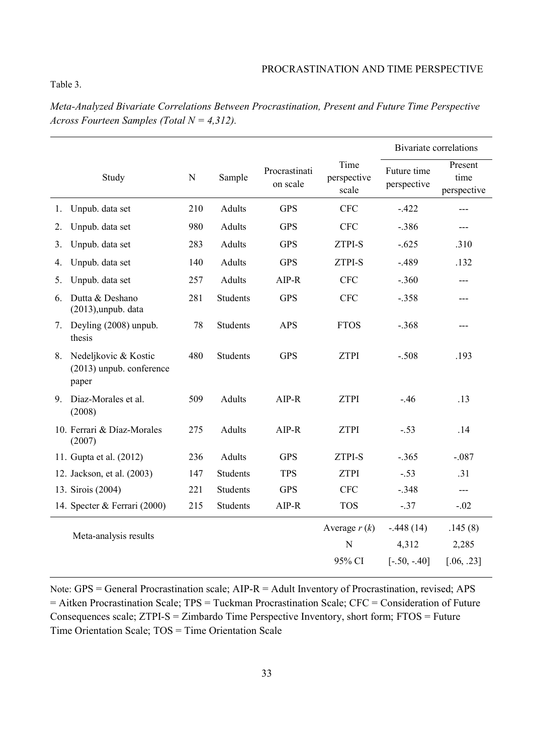## Table 3.

*Meta-Analyzed Bivariate Correlations Between Procrastination, Present and Future Time Perspective Across Fourteen Samples (Total N = 4,312).* 

|    |                                                           |             |                 |                           |                                       | <b>Bivariate correlations</b>          |                                |  |  |
|----|-----------------------------------------------------------|-------------|-----------------|---------------------------|---------------------------------------|----------------------------------------|--------------------------------|--|--|
|    | Study                                                     | $\mathbf N$ | Sample          | Procrastinati<br>on scale | Time<br>perspective<br>scale          | Future time<br>perspective             | Present<br>time<br>perspective |  |  |
| 1. | Unpub. data set                                           | 210         | Adults          | <b>GPS</b>                | <b>CFC</b>                            | $-.422$                                | $---$                          |  |  |
| 2. | Unpub. data set                                           | 980         | Adults          | <b>GPS</b>                | <b>CFC</b>                            | $-.386$                                | ---                            |  |  |
| 3. | Unpub. data set                                           | 283         | Adults          | <b>GPS</b>                | <b>ZTPI-S</b>                         | $-.625$                                | .310                           |  |  |
| 4. | Unpub. data set                                           | 140         | Adults          | <b>GPS</b>                | ZTPI-S                                | $-.489$                                | .132                           |  |  |
| 5. | Unpub. data set                                           | 257         | Adults          | $AIP-R$                   | <b>CFC</b>                            | $-.360$                                | ---                            |  |  |
| 6. | Dutta & Deshano<br>$(2013)$ , unpub. data                 | 281         | Students        | <b>GPS</b>                | <b>CFC</b>                            | $-.358$                                |                                |  |  |
| 7. | Deyling (2008) unpub.<br>thesis                           | 78          | <b>Students</b> | <b>APS</b>                | <b>FTOS</b>                           | $-.368$                                | ---                            |  |  |
| 8. | Nedeljkovic & Kostic<br>(2013) unpub. conference<br>paper | 480         | <b>Students</b> | <b>GPS</b>                | <b>ZTPI</b>                           | $-.508$                                | .193                           |  |  |
| 9. | Diaz-Morales et al.<br>(2008)                             | 509         | Adults          | $AIP-R$                   | <b>ZTPI</b>                           | $-.46$                                 | .13                            |  |  |
|    | 10. Ferrari & Díaz-Morales<br>(2007)                      | 275         | Adults          | $AIP-R$                   | <b>ZTPI</b>                           | $-.53$                                 | .14                            |  |  |
|    | 11. Gupta et al. (2012)                                   | 236         | Adults          | <b>GPS</b>                | ZTPI-S                                | $-.365$                                | $-.087$                        |  |  |
|    | 12. Jackson, et al. (2003)                                | 147         | Students        | <b>TPS</b>                | <b>ZTPI</b>                           | $-.53$                                 | .31                            |  |  |
|    | 13. Sirois (2004)                                         | 221         | <b>Students</b> | <b>GPS</b>                | <b>CFC</b>                            | $-.348$                                | $---$                          |  |  |
|    | 14. Specter & Ferrari (2000)                              | 215         | Students        | $AIP-R$                   | <b>TOS</b>                            | $-.37$                                 | $-.02$                         |  |  |
|    | Meta-analysis results                                     |             |                 |                           | Average $r(k)$<br>${\bf N}$<br>95% CI | $-.448(14)$<br>4,312<br>$[-.50, -.40]$ | .145(8)<br>2,285<br>[.06, .23] |  |  |
|    |                                                           |             |                 |                           |                                       |                                        |                                |  |  |

Note: GPS = General Procrastination scale; AIP-R = Adult Inventory of Procrastination, revised; APS = Aitken Procrastination Scale; TPS = Tuckman Procrastination Scale; CFC = Consideration of Future Consequences scale; ZTPI-S = Zimbardo Time Perspective Inventory, short form; FTOS = Future Time Orientation Scale; TOS = Time Orientation Scale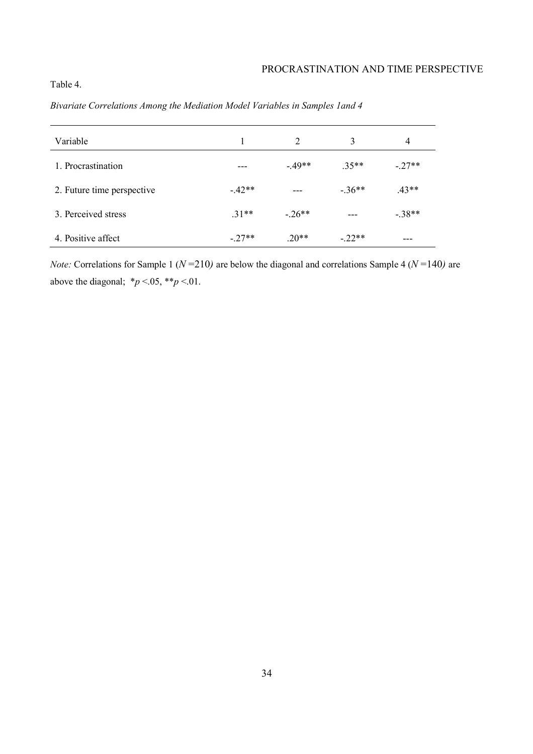# Table 4.

| Variable                   |         | 2       | 3       | $\overline{4}$ |
|----------------------------|---------|---------|---------|----------------|
| 1. Procrastination         |         | $-49**$ | $.35**$ | $-27**$        |
| 2. Future time perspective | $-42**$ | ---     | $-36**$ | $.43**$        |
| 3. Perceived stress        | $31**$  | $-26**$ | $---$   | $-38**$        |
| 4. Positive affect         | $-27**$ | $.20**$ | $-22**$ | ---            |

*Bivariate Correlations Among the Mediation Model Variables in Samples 1and 4* 

*Note:* Correlations for Sample 1 ( $N = 210$ ) are below the diagonal and correlations Sample 4 ( $N = 140$ ) are above the diagonal;  $**p* < .05, ***p* < .01$ .